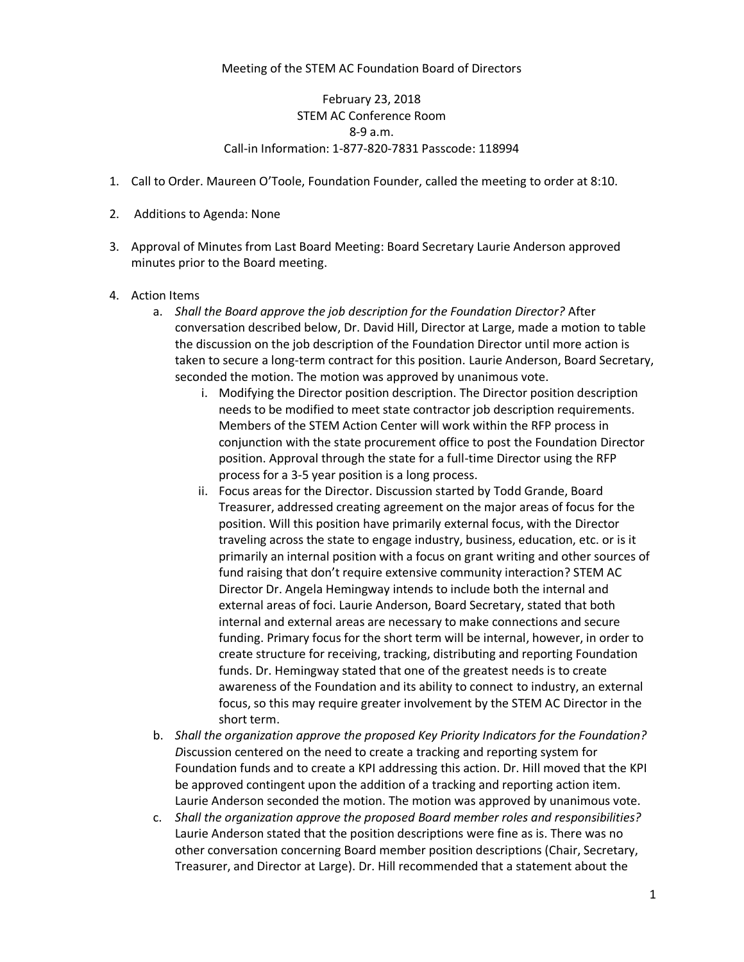## Meeting of the STEM AC Foundation Board of Directors

## February 23, 2018 STEM AC Conference Room 8-9 a.m. Call-in Information: 1-877-820-7831 Passcode: 118994

- 1. Call to Order. Maureen O'Toole, Foundation Founder, called the meeting to order at 8:10.
- 2. Additions to Agenda: None
- 3. Approval of Minutes from Last Board Meeting: Board Secretary Laurie Anderson approved minutes prior to the Board meeting.
- 4. Action Items
	- a. *Shall the Board approve the job description for the Foundation Director?* After conversation described below, Dr. David Hill, Director at Large, made a motion to table the discussion on the job description of the Foundation Director until more action is taken to secure a long-term contract for this position. Laurie Anderson, Board Secretary, seconded the motion. The motion was approved by unanimous vote.
		- i. Modifying the Director position description. The Director position description needs to be modified to meet state contractor job description requirements. Members of the STEM Action Center will work within the RFP process in conjunction with the state procurement office to post the Foundation Director position. Approval through the state for a full-time Director using the RFP process for a 3-5 year position is a long process.
		- ii. Focus areas for the Director. Discussion started by Todd Grande, Board Treasurer, addressed creating agreement on the major areas of focus for the position. Will this position have primarily external focus, with the Director traveling across the state to engage industry, business, education, etc. or is it primarily an internal position with a focus on grant writing and other sources of fund raising that don't require extensive community interaction? STEM AC Director Dr. Angela Hemingway intends to include both the internal and external areas of foci. Laurie Anderson, Board Secretary, stated that both internal and external areas are necessary to make connections and secure funding. Primary focus for the short term will be internal, however, in order to create structure for receiving, tracking, distributing and reporting Foundation funds. Dr. Hemingway stated that one of the greatest needs is to create awareness of the Foundation and its ability to connect to industry, an external focus, so this may require greater involvement by the STEM AC Director in the short term.
	- b. *Shall the organization approve the proposed Key Priority Indicators for the Foundation? D*iscussion centered on the need to create a tracking and reporting system for Foundation funds and to create a KPI addressing this action. Dr. Hill moved that the KPI be approved contingent upon the addition of a tracking and reporting action item. Laurie Anderson seconded the motion. The motion was approved by unanimous vote.
	- c. *Shall the organization approve the proposed Board member roles and responsibilities?* Laurie Anderson stated that the position descriptions were fine as is. There was no other conversation concerning Board member position descriptions (Chair, Secretary, Treasurer, and Director at Large). Dr. Hill recommended that a statement about the